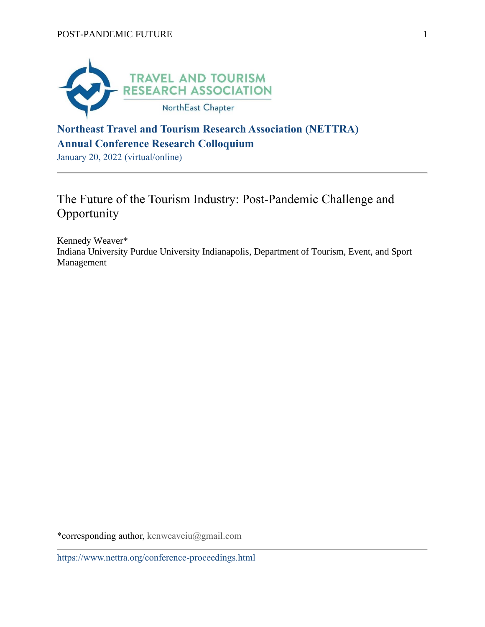

# **Northeast Travel and Tourism Research Association (NETTRA) Annual Conference Research Colloquium**

January 20, 2022 (virtual/online)

# The Future of the Tourism Industry: Post-Pandemic Challenge and **Opportunity**

Kennedy Weaver\* Indiana University Purdue University Indianapolis, Department of Tourism, Event, and Sport Management

\*corresponding author, kenweaveiu@gmail.com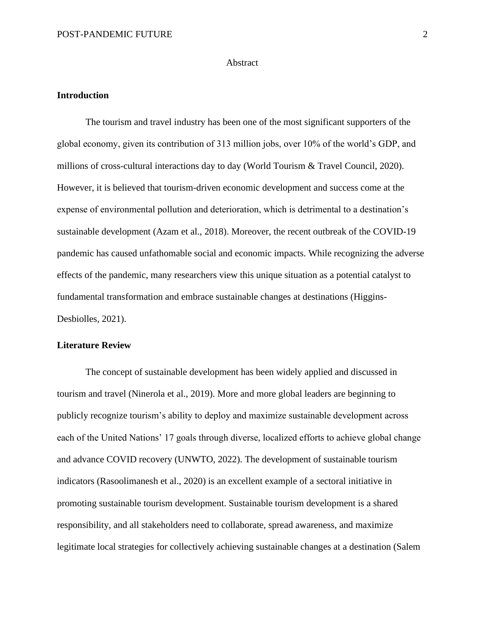#### **Abstract**

#### **Introduction**

The tourism and travel industry has been one of the most significant supporters of the global economy, given its contribution of 313 million jobs, over 10% of the world's GDP, and millions of cross-cultural interactions day to day (World Tourism & Travel Council, 2020). However, it is believed that tourism-driven economic development and success come at the expense of environmental pollution and deterioration, which is detrimental to a destination's sustainable development (Azam et al., 2018). Moreover, the recent outbreak of the COVID-19 pandemic has caused unfathomable social and economic impacts. While recognizing the adverse effects of the pandemic, many researchers view this unique situation as a potential catalyst to fundamental transformation and embrace sustainable changes at destinations (Higgins-Desbiolles, 2021).

#### **Literature Review**

The concept of sustainable development has been widely applied and discussed in tourism and travel (Ninerola et al., 2019). More and more global leaders are beginning to publicly recognize tourism's ability to deploy and maximize sustainable development across each of the United Nations' 17 goals through diverse, localized efforts to achieve global change and advance COVID recovery (UNWTO, 2022). The development of sustainable tourism indicators (Rasoolimanesh et al., 2020) is an excellent example of a sectoral initiative in promoting sustainable tourism development. Sustainable tourism development is a shared responsibility, and all stakeholders need to collaborate, spread awareness, and maximize legitimate local strategies for collectively achieving sustainable changes at a destination (Salem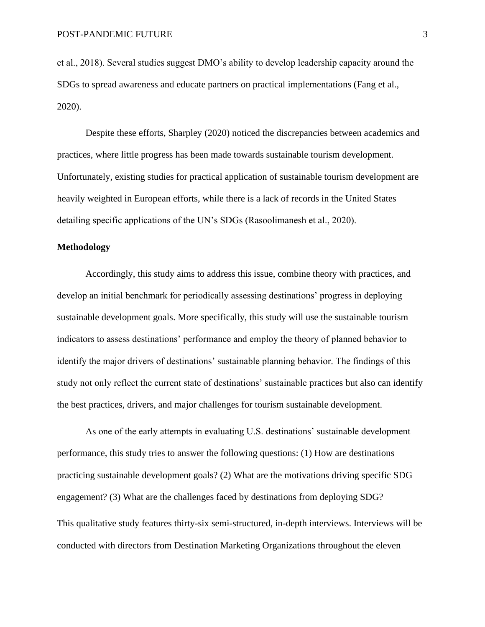et al., 2018). Several studies suggest DMO's ability to develop leadership capacity around the SDGs to spread awareness and educate partners on practical implementations (Fang et al., 2020).

Despite these efforts, Sharpley (2020) noticed the discrepancies between academics and practices, where little progress has been made towards sustainable tourism development. Unfortunately, existing studies for practical application of sustainable tourism development are heavily weighted in European efforts, while there is a lack of records in the United States detailing specific applications of the UN's SDGs (Rasoolimanesh et al., 2020).

#### **Methodology**

Accordingly, this study aims to address this issue, combine theory with practices, and develop an initial benchmark for periodically assessing destinations' progress in deploying sustainable development goals. More specifically, this study will use the sustainable tourism indicators to assess destinations' performance and employ the theory of planned behavior to identify the major drivers of destinations' sustainable planning behavior. The findings of this study not only reflect the current state of destinations' sustainable practices but also can identify the best practices, drivers, and major challenges for tourism sustainable development.

As one of the early attempts in evaluating U.S. destinations' sustainable development performance, this study tries to answer the following questions: (1) How are destinations practicing sustainable development goals? (2) What are the motivations driving specific SDG engagement? (3) What are the challenges faced by destinations from deploying SDG? This qualitative study features thirty-six semi-structured, in-depth interviews. Interviews will be conducted with directors from Destination Marketing Organizations throughout the eleven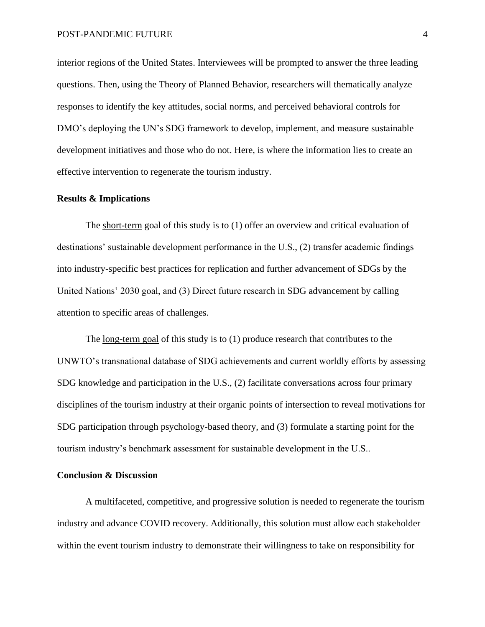interior regions of the United States. Interviewees will be prompted to answer the three leading questions. Then, using the Theory of Planned Behavior, researchers will thematically analyze responses to identify the key attitudes, social norms, and perceived behavioral controls for DMO's deploying the UN's SDG framework to develop, implement, and measure sustainable development initiatives and those who do not. Here, is where the information lies to create an effective intervention to regenerate the tourism industry.

#### **Results & Implications**

The short-term goal of this study is to (1) offer an overview and critical evaluation of destinations' sustainable development performance in the U.S., (2) transfer academic findings into industry-specific best practices for replication and further advancement of SDGs by the United Nations' 2030 goal, and (3) Direct future research in SDG advancement by calling attention to specific areas of challenges.

The <u>long-term goal</u> of this study is to (1) produce research that contributes to the UNWTO's transnational database of SDG achievements and current worldly efforts by assessing SDG knowledge and participation in the U.S., (2) facilitate conversations across four primary disciplines of the tourism industry at their organic points of intersection to reveal motivations for SDG participation through psychology-based theory, and (3) formulate a starting point for the tourism industry's benchmark assessment for sustainable development in the U.S..

## **Conclusion & Discussion**

A multifaceted, competitive, and progressive solution is needed to regenerate the tourism industry and advance COVID recovery. Additionally, this solution must allow each stakeholder within the event tourism industry to demonstrate their willingness to take on responsibility for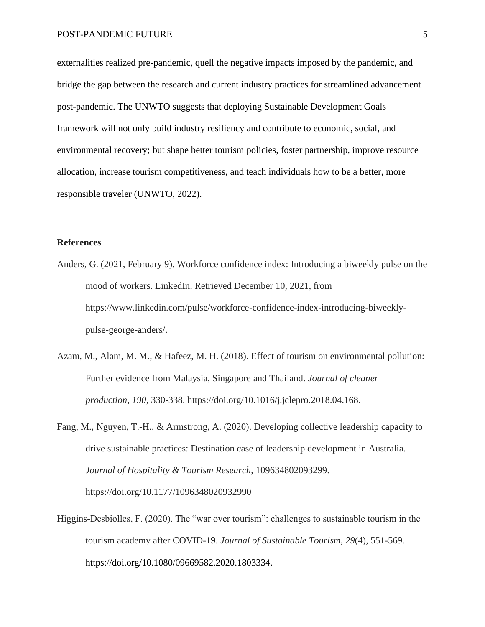externalities realized pre-pandemic, quell the negative impacts imposed by the pandemic, and bridge the gap between the research and current industry practices for streamlined advancement post-pandemic. The UNWTO suggests that deploying Sustainable Development Goals framework will not only build industry resiliency and contribute to economic, social, and environmental recovery; but shape better tourism policies, foster partnership, improve resource allocation, increase tourism competitiveness, and teach individuals how to be a better, more responsible traveler (UNWTO, 2022).

### **References**

- Anders, G. (2021, February 9). Workforce confidence index: Introducing a biweekly pulse on the mood of workers. LinkedIn. Retrieved December 10, 2021, from https://www.linkedin.com/pulse/workforce-confidence-index-introducing-biweeklypulse-george-anders/.
- Azam, M., Alam, M. M., & Hafeez, M. H. (2018). Effect of tourism on environmental pollution: Further evidence from Malaysia, Singapore and Thailand. *Journal of cleaner production*, *190*, 330-338. https://doi.org/10.1016/j.jclepro.2018.04.168.
- Fang, M., Nguyen, T.-H., & Armstrong, A. (2020). Developing collective leadership capacity to drive sustainable practices: Destination case of leadership development in Australia. *Journal of Hospitality & Tourism Research*, 109634802093299. https://doi.org/10.1177/1096348020932990
- Higgins-Desbiolles, F. (2020). The "war over tourism": challenges to sustainable tourism in the tourism academy after COVID-19. *Journal of Sustainable Tourism*, *29*(4), 551-569. https://doi.org/10.1080/09669582.2020.1803334.